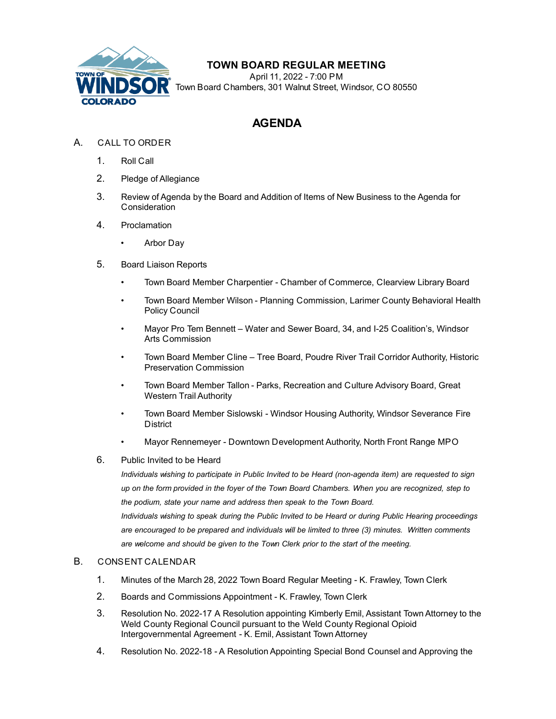

## **TOWN BOARD REGULAR MEETING**

April 11, 2022 - 7:00 PM Town Board Chambers, 301 Walnut Street, Windsor, CO 80550

## **AGENDA**

- A. CALL TO ORDER
	- 1. Roll Call
	- 2. Pledge of Allegiance
	- 3. Review of Agenda by the Board and Addition of Items of New Business to the Agenda for Consideration
	- 4. Proclamation
		- Arbor Day
	- 5. Board Liaison Reports
		- Town Board Member Charpentier Chamber of Commerce, Clearview Library Board
		- Town Board Member Wilson Planning Commission, Larimer County Behavioral Health Policy Council
		- Mayor Pro Tem Bennett Water and Sewer Board, 34, and I-25 Coalition's, Windsor Arts Commission
		- Town Board Member Cline Tree Board, Poudre River Trail Corridor Authority, Historic Preservation Commission
		- Town Board Member Tallon Parks, Recreation and Culture Advisory Board, Great Western Trail Authority
		- Town Board Member Sislowski Windsor Housing Authority, Windsor Severance Fire **District**
		- Mayor Rennemeyer Downtown Development Authority, North Front Range MPO
	- 6. Public Invited to be Heard

*Individuals wishing to participate in Public Invited to be Heard (non-agenda item) are requested to sign up on the form provided in the foyer of the Town Board Chambers. When you are recognized, step to the podium, state your name and address then speak to the Town Board. Individuals wishing to speak during the Public Invited to be Heard or during Public Hearing proceedings are encouraged to be prepared and individuals will be limited to three (3) minutes. Written comments are welcome and should be given to the Town Clerk prior to the start of the meeting.*

## B. CONSENT CALENDAR

- 1. [Minutes of the March 28, 2022 Town Board Regular Meeting K. Frawley, Town Clerk](file:///C:/Windows/TEMP/CoverSheet.aspx?ItemID=1992&MeetingID=362)
- 2. [Boards and Commissions Appointment K. Frawley, Town Clerk](file:///C:/Windows/TEMP/CoverSheet.aspx?ItemID=2005&MeetingID=362)
- 3. [Resolution No. 2022-17 A Resolution appointing Kimberly Emil, Assistant Town Attorney to the](file:///C:/Windows/TEMP/CoverSheet.aspx?ItemID=1989&MeetingID=362) Weld County Regional Council pursuant to the Weld County Regional Opioid Intergovernmental Agreement - K. Emil, Assistant Town Attorney
- 4. Resolution No. 2022-18 A Resolution Appointing Special Bond Counsel and Approving the